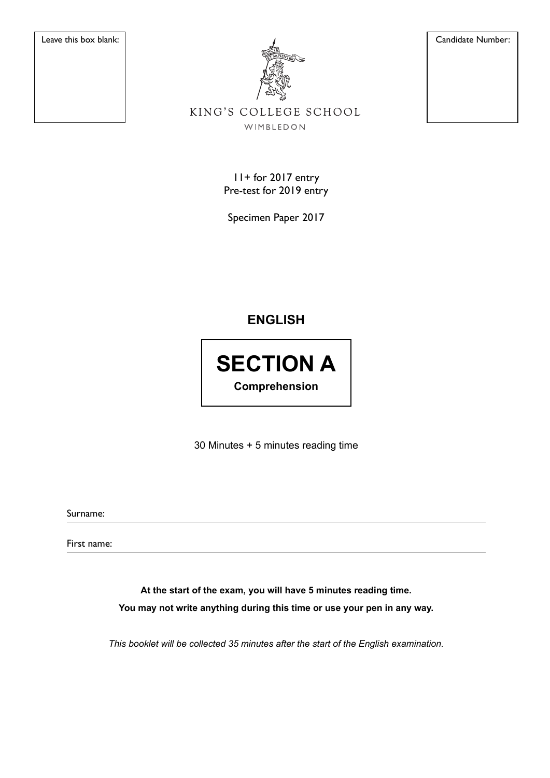

Leave this box blank: Candidate Number:

## KING'S COLLEGE SCHOOL WIMBLEDON

11+ for 2017 entry Pre-test for 2019 entry

Specimen Paper 2017

# **ENGLISH**

**SECTION A Comprehension**

30 Minutes + 5 minutes reading time

Surname:

First name:

**At the start of the exam, you will have 5 minutes reading time. You may not write anything during this time or use your pen in any way.**

*This booklet will be collected 35 minutes after the start of the English examination.*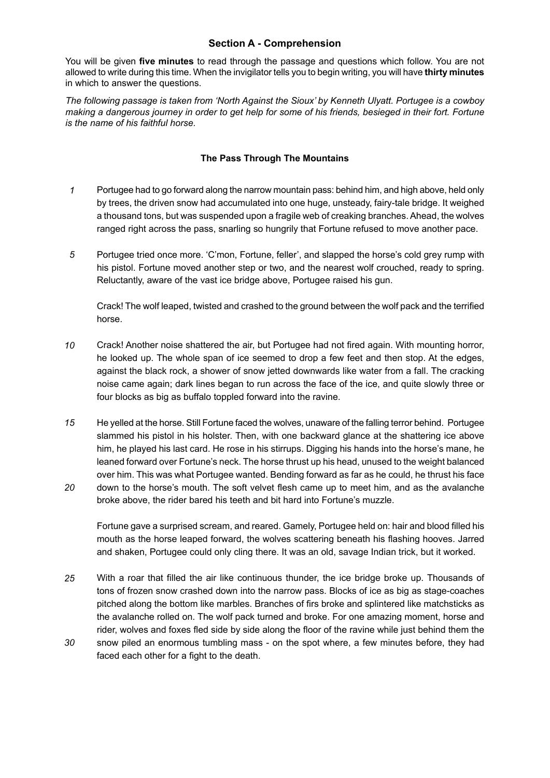### **Section A - Comprehension**

You will be given **fi ve minutes** to read through the passage and questions which follow. You are not allowed to write during this time. When the invigilator tells you to begin writing, you will have **thirty minutes**  in which to answer the questions.

*The following passage is taken from 'North Against the Sioux' by Kenneth Ulyatt. Portugee is a cowboy making a dangerous journey in order to get help for some of his friends, besieged in their fort. Fortune is the name of his faithful horse.*

#### **The Pass Through The Mountains**

- *1* Portugee had to go forward along the narrow mountain pass: behind him, and high above, held only by trees, the driven snow had accumulated into one huge, unsteady, fairy-tale bridge. It weighed a thousand tons, but was suspended upon a fragile web of creaking branches. Ahead, the wolves ranged right across the pass, snarling so hungrily that Fortune refused to move another pace.
- *5* Portugee tried once more. 'C'mon, Fortune, feller', and slapped the horse's cold grey rump with his pistol. Fortune moved another step or two, and the nearest wolf crouched, ready to spring. Reluctantly, aware of the vast ice bridge above, Portugee raised his gun.

Crack! The wolf leaped, twisted and crashed to the ground between the wolf pack and the terrified horse.

- *10* Crack! Another noise shattered the air, but Portugee had not fired again. With mounting horror, he looked up. The whole span of ice seemed to drop a few feet and then stop. At the edges, against the black rock, a shower of snow jetted downwards like water from a fall. The cracking noise came again; dark lines began to run across the face of the ice, and quite slowly three or four blocks as big as buffalo toppled forward into the ravine.
- *15* He yelled at the horse. Still Fortune faced the wolves, unaware of the falling terror behind. Portugee slammed his pistol in his holster. Then, with one backward glance at the shattering ice above him, he played his last card. He rose in his stirrups. Digging his hands into the horse's mane, he leaned forward over Fortune's neck. The horse thrust up his head, unused to the weight balanced over him. This was what Portugee wanted. Bending forward as far as he could, he thrust his face
- *20* down to the horse's mouth. The soft velvet flesh came up to meet him, and as the avalanche broke above, the rider bared his teeth and bit hard into Fortune's muzzle.

Fortune gave a surprised scream, and reared. Gamely, Portugee held on: hair and blood filled his mouth as the horse leaped forward, the wolves scattering beneath his flashing hooves. Jarred and shaken, Portugee could only cling there. It was an old, savage Indian trick, but it worked.

- *25* With a roar that filled the air like continuous thunder, the ice bridge broke up. Thousands of tons of frozen snow crashed down into the narrow pass. Blocks of ice as big as stage-coaches pitched along the bottom like marbles. Branches of firs broke and splintered like matchsticks as the avalanche rolled on. The wolf pack turned and broke. For one amazing moment, horse and rider, wolves and foxes fled side by side along the floor of the ravine while just behind them the
- *30* snow piled an enormous tumbling mass - on the spot where, a few minutes before, they had faced each other for a fight to the death.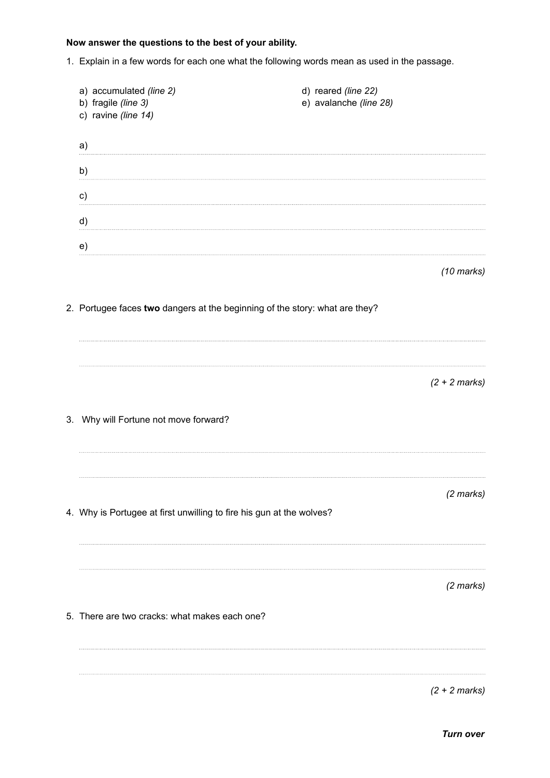## **Now answer the questions to the best of your ability.**

1. Explain in a few words for each one what the following words mean as used in the passage.

| a) accumulated (line 2)<br>b) fragile (line 3)<br>c) ravine (line 14)       | d) reared (line 22)<br>e) avalanche (line 28) |                      |
|-----------------------------------------------------------------------------|-----------------------------------------------|----------------------|
| a)                                                                          |                                               |                      |
| b)                                                                          |                                               |                      |
| c)                                                                          |                                               |                      |
| d)                                                                          |                                               |                      |
| e)                                                                          |                                               |                      |
|                                                                             |                                               | $(10 \text{ marks})$ |
| 2. Portugee faces two dangers at the beginning of the story: what are they? |                                               |                      |
|                                                                             |                                               |                      |
|                                                                             |                                               |                      |
|                                                                             |                                               | $(2 + 2 marks)$      |
|                                                                             |                                               |                      |
| 3. Why will Fortune not move forward?                                       |                                               |                      |
|                                                                             |                                               |                      |
|                                                                             |                                               | $(2$ marks)          |
| 4. Why is Portugee at first unwilling to fire his gun at the wolves?        |                                               |                      |
|                                                                             |                                               |                      |
|                                                                             |                                               |                      |
|                                                                             |                                               | $(2$ marks)          |
| 5. There are two cracks: what makes each one?                               |                                               |                      |
|                                                                             |                                               |                      |
|                                                                             |                                               |                      |
|                                                                             |                                               | $(2 + 2 marks)$      |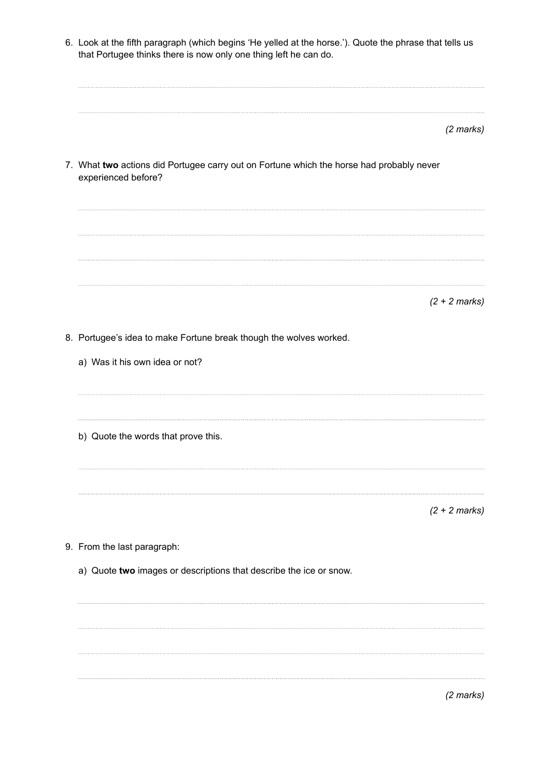6. Look at the fifth paragraph (which begins 'He yelled at the horse.'). Quote the phrase that tells us that Portugee thinks there is now only one thing left he can do.

|  | (2 marks) |
|--|-----------|
|--|-----------|

7. What **two** actions did Portugee carry out on Fortune which the horse had probably never experienced before?

*(2 + 2 marks)*

- 8. Portugee's idea to make Fortune break though the wolves worked.
	- a) Was it his own idea or not?
	- b) Quote the words that prove this.

*(2 + 2 marks)*

- 9. From the last paragraph:
	- a) Quote **two** images or descriptions that describe the ice or snow.

*(2 marks)*